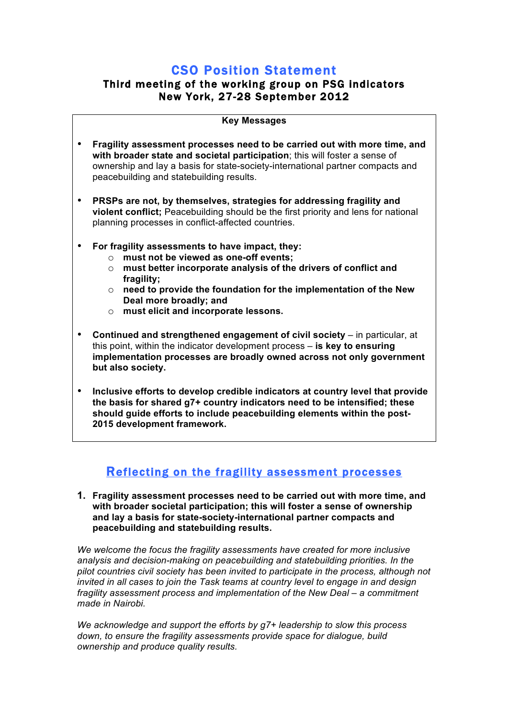# **CSO Position Statement**<br>Third meeting of the working group on PSG indicators New York, 27-28 September 2012

|           | <b>Key Messages</b>                                                                                                                                                                                                                                                                                                                                         |
|-----------|-------------------------------------------------------------------------------------------------------------------------------------------------------------------------------------------------------------------------------------------------------------------------------------------------------------------------------------------------------------|
| ٠         | Fragility assessment processes need to be carried out with more time, and<br>with broader state and societal participation; this will foster a sense of<br>ownership and lay a basis for state-society-international partner compacts and<br>peacebuilding and statebuilding results.                                                                       |
| $\bullet$ | PRSPs are not, by themselves, strategies for addressing fragility and<br>violent conflict; Peacebuilding should be the first priority and lens for national<br>planning processes in conflict-affected countries.                                                                                                                                           |
| $\bullet$ | For fragility assessments to have impact, they:<br>must not be viewed as one-off events;<br>$\circ$<br>must better incorporate analysis of the drivers of conflict and<br>$\circ$<br>fragility;<br>need to provide the foundation for the implementation of the New<br>$\circ$<br>Deal more broadly; and<br>must elicit and incorporate lessons.<br>$\circ$ |
| $\bullet$ | Continued and strengthened engagement of civil society - in particular, at<br>this point, within the indicator development process - is key to ensuring<br>implementation processes are broadly owned across not only government<br>but also society.                                                                                                       |
| $\bullet$ | Inclusive efforts to develop credible indicators at country level that provide<br>the basis for shared q7+ country indicators need to be intensified: these                                                                                                                                                                                                 |

**the basis for shared g7+ country indicators need to be intensified; these should guide efforts to include peacebuilding elements within the post-2015 development framework.**

# Reflecting on the fragility assessment processes

**1. Fragility assessment processes need to be carried out with more time, and with broader societal participation; this will foster a sense of ownership and lay a basis for state-society-international partner compacts and peacebuilding and statebuilding results.** 

*We welcome the focus the fragility assessments have created for more inclusive analysis and decision-making on peacebuilding and statebuilding priorities. In the pilot countries civil society has been invited to participate in the process, although not invited in all cases to join the Task teams at country level to engage in and design fragility assessment process and implementation of the New Deal – a commitment made in Nairobi.*

*We acknowledge and support the efforts by g7+ leadership to slow this process down, to ensure the fragility assessments provide space for dialogue, build ownership and produce quality results.*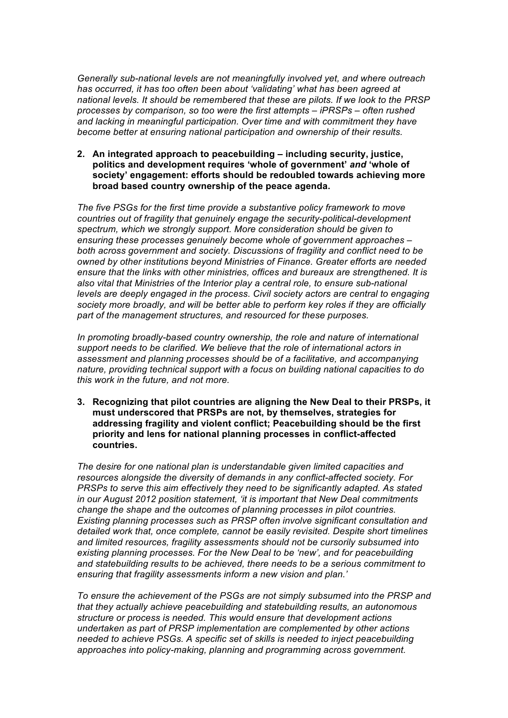*Generally sub-national levels are not meaningfully involved yet, and where outreach has occurred, it has too often been about 'validating' what has been agreed at national levels. It should be remembered that these are pilots. If we look to the PRSP processes by comparison, so too were the first attempts – iPRSPs – often rushed and lacking in meaningful participation. Over time and with commitment they have become better at ensuring national participation and ownership of their results.* 

**2. An integrated approach to peacebuilding – including security, justice, politics and development requires 'whole of government'** *and* **'whole of society' engagement: efforts should be redoubled towards achieving more broad based country ownership of the peace agenda.**

*The five PSGs for the first time provide a substantive policy framework to move countries out of fragility that genuinely engage the security-political-development spectrum, which we strongly support. More consideration should be given to ensuring these processes genuinely become whole of government approaches – both across government and society. Discussions of fragility and conflict need to be owned by other institutions beyond Ministries of Finance. Greater efforts are needed ensure that the links with other ministries, offices and bureaux are strengthened. It is also vital that Ministries of the Interior play a central role, to ensure sub-national levels are deeply engaged in the process. Civil society actors are central to engaging society more broadly, and will be better able to perform key roles if they are officially part of the management structures, and resourced for these purposes.* 

*In promoting broadly-based country ownership, the role and nature of international support needs to be clarified. We believe that the role of international actors in assessment and planning processes should be of a facilitative, and accompanying nature, providing technical support with a focus on building national capacities to do this work in the future, and not more.*

**3. Recognizing that pilot countries are aligning the New Deal to their PRSPs, it must underscored that PRSPs are not, by themselves, strategies for addressing fragility and violent conflict; Peacebuilding should be the first priority and lens for national planning processes in conflict-affected countries.** 

*The desire for one national plan is understandable given limited capacities and resources alongside the diversity of demands in any conflict-affected society. For PRSPs to serve this aim effectively they need to be significantly adapted. As stated in our August 2012 position statement, 'it is important that New Deal commitments change the shape and the outcomes of planning processes in pilot countries. Existing planning processes such as PRSP often involve significant consultation and detailed work that, once complete, cannot be easily revisited. Despite short timelines and limited resources, fragility assessments should not be cursorily subsumed into existing planning processes. For the New Deal to be 'new', and for peacebuilding and statebuilding results to be achieved, there needs to be a serious commitment to ensuring that fragility assessments inform a new vision and plan.'* 

*To ensure the achievement of the PSGs are not simply subsumed into the PRSP and that they actually achieve peacebuilding and statebuilding results, an autonomous structure or process is needed. This would ensure that development actions undertaken as part of PRSP implementation are complemented by other actions needed to achieve PSGs. A specific set of skills is needed to inject peacebuilding approaches into policy-making, planning and programming across government.*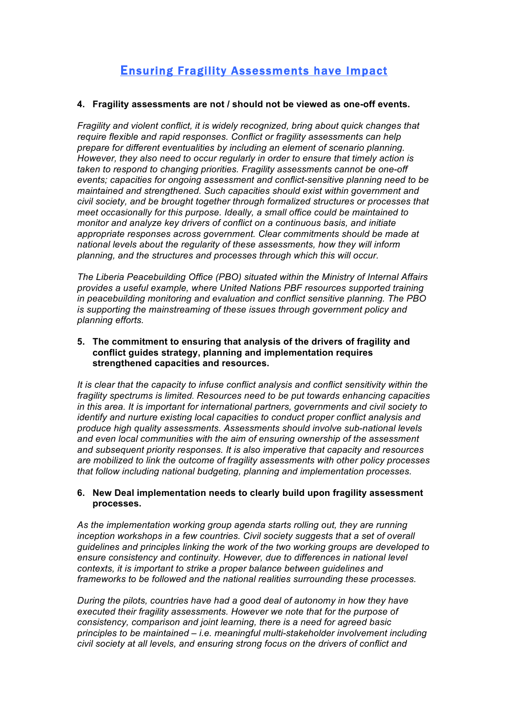# Ensuring Fragility Assessments have Impact

### **4. Fragility assessments are not / should not be viewed as one-off events.**

*Fragility and violent conflict, it is widely recognized, bring about quick changes that require flexible and rapid responses. Conflict or fragility assessments can help prepare for different eventualities by including an element of scenario planning. However, they also need to occur regularly in order to ensure that timely action is taken to respond to changing priorities. Fragility assessments cannot be one-off events; capacities for ongoing assessment and conflict-sensitive planning need to be maintained and strengthened. Such capacities should exist within government and civil society, and be brought together through formalized structures or processes that meet occasionally for this purpose. Ideally, a small office could be maintained to monitor and analyze key drivers of conflict on a continuous basis, and initiate appropriate responses across government. Clear commitments should be made at national levels about the regularity of these assessments, how they will inform planning, and the structures and processes through which this will occur.* 

*The Liberia Peacebuilding Office (PBO) situated within the Ministry of Internal Affairs provides a useful example, where United Nations PBF resources supported training in peacebuilding monitoring and evaluation and conflict sensitive planning. The PBO is supporting the mainstreaming of these issues through government policy and planning efforts.* 

**5. The commitment to ensuring that analysis of the drivers of fragility and conflict guides strategy, planning and implementation requires strengthened capacities and resources.** 

*It is clear that the capacity to infuse conflict analysis and conflict sensitivity within the fragility spectrums is limited. Resources need to be put towards enhancing capacities in this area. It is important for international partners, governments and civil society to identify and nurture existing local capacities to conduct proper conflict analysis and produce high quality assessments. Assessments should involve sub-national levels and even local communities with the aim of ensuring ownership of the assessment and subsequent priority responses. It is also imperative that capacity and resources are mobilized to link the outcome of fragility assessments with other policy processes that follow including national budgeting, planning and implementation processes.* 

### **6. New Deal implementation needs to clearly build upon fragility assessment processes.**

*As the implementation working group agenda starts rolling out, they are running inception workshops in a few countries. Civil society suggests that a set of overall guidelines and principles linking the work of the two working groups are developed to ensure consistency and continuity. However, due to differences in national level contexts, it is important to strike a proper balance between guidelines and frameworks to be followed and the national realities surrounding these processes.*

*During the pilots, countries have had a good deal of autonomy in how they have executed their fragility assessments. However we note that for the purpose of consistency, comparison and joint learning, there is a need for agreed basic principles to be maintained – i.e. meaningful multi-stakeholder involvement including civil society at all levels, and ensuring strong focus on the drivers of conflict and*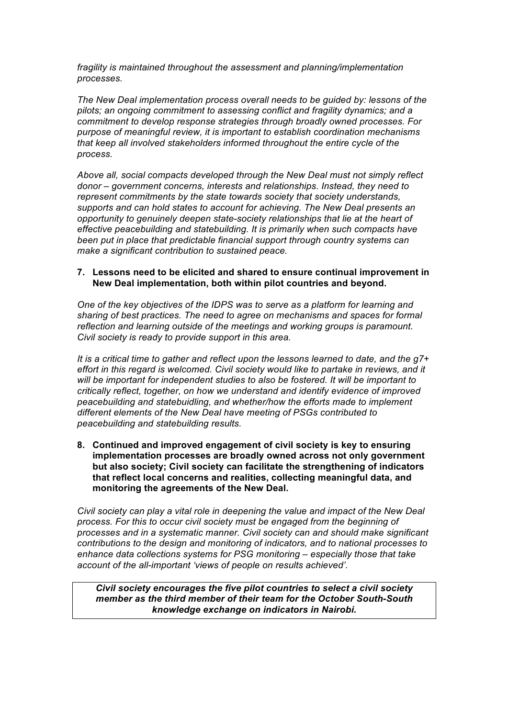*fragility is maintained throughout the assessment and planning/implementation processes.* 

*The New Deal implementation process overall needs to be guided by: lessons of the pilots; an ongoing commitment to assessing conflict and fragility dynamics; and a commitment to develop response strategies through broadly owned processes. For purpose of meaningful review, it is important to establish coordination mechanisms that keep all involved stakeholders informed throughout the entire cycle of the process.* 

*Above all, social compacts developed through the New Deal must not simply reflect donor – government concerns, interests and relationships. Instead, they need to represent commitments by the state towards society that society understands, supports and can hold states to account for achieving. The New Deal presents an opportunity to genuinely deepen state-society relationships that lie at the heart of effective peacebuilding and statebuilding. It is primarily when such compacts have been put in place that predictable financial support through country systems can make a significant contribution to sustained peace.*

#### **7. Lessons need to be elicited and shared to ensure continual improvement in New Deal implementation, both within pilot countries and beyond.**

*One of the key objectives of the IDPS was to serve as a platform for learning and sharing of best practices. The need to agree on mechanisms and spaces for formal reflection and learning outside of the meetings and working groups is paramount. Civil society is ready to provide support in this area.* 

*It is a critical time to gather and reflect upon the lessons learned to date, and the g7+ effort in this regard is welcomed. Civil society would like to partake in reviews, and it will be important for independent studies to also be fostered. It will be important to critically reflect, together, on how we understand and identify evidence of improved peacebuilding and statebuidling, and whether/how the efforts made to implement different elements of the New Deal have meeting of PSGs contributed to peacebuilding and statebuilding results.* 

**8. Continued and improved engagement of civil society is key to ensuring implementation processes are broadly owned across not only government but also society; Civil society can facilitate the strengthening of indicators that reflect local concerns and realities, collecting meaningful data, and monitoring the agreements of the New Deal.** 

*Civil society can play a vital role in deepening the value and impact of the New Deal process. For this to occur civil society must be engaged from the beginning of processes and in a systematic manner. Civil society can and should make significant contributions to the design and monitoring of indicators, and to national processes to enhance data collections systems for PSG monitoring – especially those that take account of the all-important 'views of people on results achieved'.* 

*Civil society encourages the five pilot countries to select a civil society member as the third member of their team for the October South-South knowledge exchange on indicators in Nairobi.*